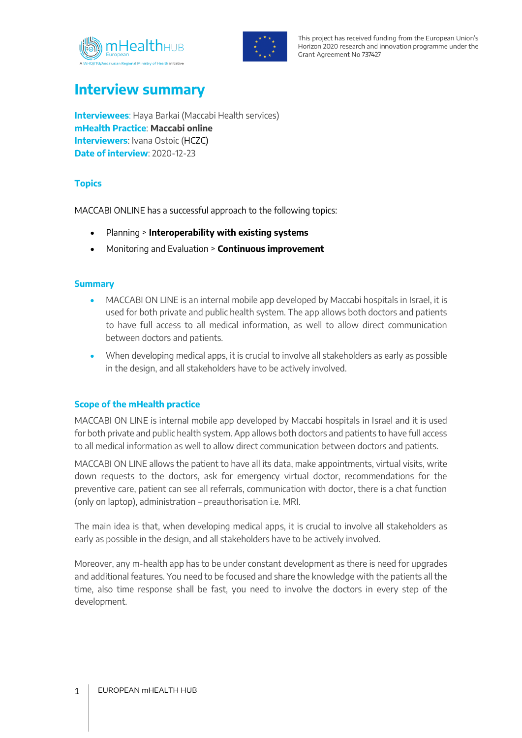



This project has received funding from the European Union's Horizon 2020 research and innovation programme under the Grant Agreement No 737427

# **Interview summary**

**Interviewees**: Haya Barkai (Maccabi Health services) **mHealth Practice**: **Maccabi online Interviewers**: Ivana Ostoic (HCZC) **Date of interview**: 2020-12-23

# **Topics**

MACCABI ONLINE has a successful approach to the following topics:

- Planning > **Interoperability with existing systems**
- Monitoring and Evaluation > **Continuous improvement**

### **Summary**

- MACCABI ON LINE is an internal mobile app developed by Maccabi hospitals in Israel, it is used for both private and public health system. The app allows both doctors and patients to have full access to all medical information, as well to allow direct communication between doctors and patients.
- When developing medical apps, it is crucial to involve all stakeholders as early as possible in the design, and all stakeholders have to be actively involved.

## **Scope of the mHealth practice**

MACCABI ON LINE is internal mobile app developed by Maccabi hospitals in Israel and it is used for both private and public health system. App allows both doctors and patients to have full access to all medical information as well to allow direct communication between doctors and patients.

MACCABI ON LINE allows the patient to have all its data, make appointments, virtual visits, write down requests to the doctors, ask for emergency virtual doctor, recommendations for the preventive care, patient can see all referrals, communication with doctor, there is a chat function (only on laptop), administration – preauthorisation i.e. MRI.

The main idea is that, when developing medical apps, it is crucial to involve all stakeholders as early as possible in the design, and all stakeholders have to be actively involved.

Moreover, any m-health app has to be under constant development as there is need for upgrades and additional features. You need to be focused and share the knowledge with the patients all the time, also time response shall be fast, you need to involve the doctors in every step of the development.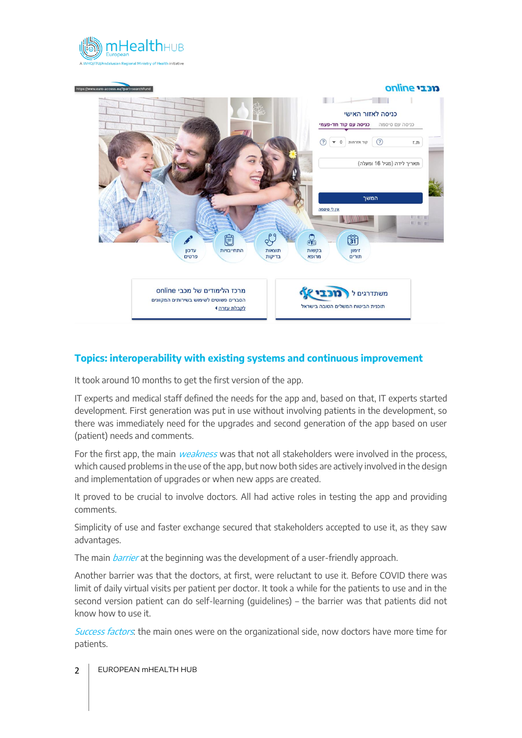



# **Topics: interoperability with existing systems and continuous improvement**

It took around 10 months to get the first version of the app.

IT experts and medical staff defined the needs for the app and, based on that, IT experts started development. First generation was put in use without involving patients in the development, so there was immediately need for the upgrades and second generation of the app based on user (patient) needs and comments.

For the first app, the main *weakness* was that not all stakeholders were involved in the process, which caused problems in the use of the app, but now both sides are actively involved in the design and implementation of upgrades or when new apps are created.

It proved to be crucial to involve doctors. All had active roles in testing the app and providing comments.

Simplicity of use and faster exchange secured that stakeholders accepted to use it, as they saw advantages.

The main *barrier* at the beginning was the development of a user-friendly approach.

Another barrier was that the doctors, at first, were reluctant to use it. Before COVID there was limit of daily virtual visits per patient per doctor. It took a while for the patients to use and in the second version patient can do self-learning (guidelines) – the barrier was that patients did not know how to use it.

Success factors: the main ones were on the organizational side, now doctors have more time for patients.

2 | EUROPEAN mHEALTH HUB